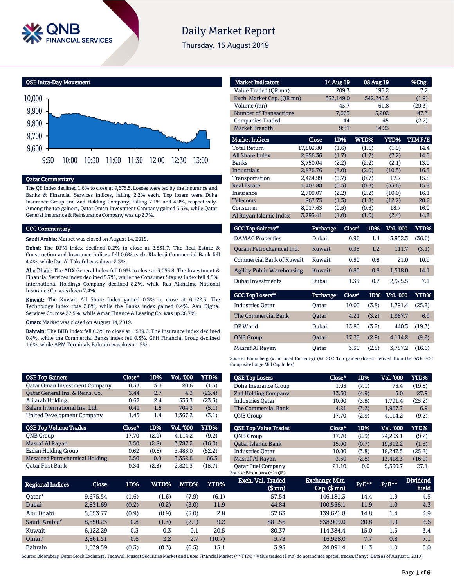

# **Daily Market Report**

Thursday, 15 August 2019

QSE Intra-Day Movement



#### Qatar Commentary

The QE Index declined 1.6% to close at 9,675.5. Losses were led by the Insurance and Banks & Financial Services indices, falling 2.2% each. Top losers were Doha Insurance Group and Zad Holding Company, falling 7.1% and 4.9%, respectively. Among the top gainers, Qatar Oman Investment Company gained 3.3%, while Qatar General Insurance & Reinsurance Company was up 2.7%.

#### GCC Commentary

Saudi Arabia: Market was closed on August 14, 2019.

Dubai: The DFM Index declined 0.2% to close at 2,831.7. The Real Estate & Construction and Insurance indices fell 0.6% each. Khaleeji Commercial Bank fell 4.4%, while Dar Al Takaful was down 2.3%.

Abu Dhabi: The ADX General Index fell 0.9% to close at 5,053.8. The Investment & Financial Services index declined 5.7%, while the Consumer Staples index fell 4.5%. International Holdings Company declined 8.2%, while Ras Alkhaima National Insurance Co. was down 7.4%.

Kuwait: The Kuwait All Share Index gained 0.3% to close at 6,122.3. The Technology index rose 2.6%, while the Banks index gained 0.4%. Aan Digital Services Co. rose 27.5%, while Amar Finance & Leasing Co. was up 26.7%.

**Oman:** Market was closed on August 14, 2019.

Bahrain: The BHB Index fell 0.3% to close at 1,539.6. The Insurance index declined 0.4%, while the Commercial Banks index fell 0.3%. GFH Financial Group declined 1.6%, while APM Terminals Bahrain was down 1.5%.

| <b>QSE Top Gainers</b>                | Close* | 1D%   | <b>Vol. '000</b> | <b>YTD%</b> |
|---------------------------------------|--------|-------|------------------|-------------|
| <b>Qatar Oman Investment Company</b>  | 0.53   | 3.3   | 20.6             | (1.3)       |
| Oatar General Ins. & Reins. Co.       | 3.44   | 2.7   | 4.3              | (23.4)      |
| Alijarah Holding                      | 0.67   | 2.4   | 536.3            | (23.5)      |
| Salam International Inv. Ltd.         | 0.41   | 1.5   | 704.3            | (5.1)       |
| United Development Company            | 1.43   | 1.4   | 1,367.2          | (3.1)       |
|                                       |        |       |                  |             |
| <b>QSE Top Volume Trades</b>          | Close* | 1D%   | Vol. '000        | YTD%        |
| <b>ONB</b> Group                      | 17.70  | (2.9) | 4.114.2          | (9.2)       |
| Masraf Al Rayan                       | 3.50   | (2.8) | 3,787.2          | (16.0)      |
| Ezdan Holding Group                   | 0.62   | (0.6) | 3,483.0          | (52.2)      |
| <b>Mesaieed Petrochemical Holding</b> | 2.50   | 0.0   | 3,352.6          | 66.3        |

| <b>Market Indicators</b>         |           | 14 Aug 19       |               | 08 Aug 19        | %Chg.       |
|----------------------------------|-----------|-----------------|---------------|------------------|-------------|
| Value Traded (QR mn)             |           | 209.3           |               | 195.2            | 7.2         |
| Exch. Market Cap. (QR mn)        |           | 532,149.0       |               | 542,240.5        | (1.9)       |
| Volume (mn)                      |           | 43.7            |               | 61.8             | (29.3)      |
| <b>Number of Transactions</b>    |           | 7,663           |               | 5,202            | 47.3        |
| <b>Companies Traded</b>          |           | 44              |               | 45               | (2.2)       |
| <b>Market Breadth</b>            |           | 9:31            |               | 14:23            |             |
| <b>Market Indices</b>            | Close     | 1D%             | WTD%          | YTD%             | TTMP/E      |
| <b>Total Return</b>              | 17,803.80 | (1.6)           | (1.6)         | (1.9)            | 14.4        |
| <b>All Share Index</b>           | 2,856.36  | (1.7)           | (1.7)         | (7.2)            | 14.5        |
| <b>Banks</b>                     | 3,750.04  | (2.2)           | (2.2)         | (2.1)            | 13.0        |
| <b>Industrials</b>               | 2,876.76  | (2.0)           | (2.0)         | (10.5)           | 16.5        |
| Transportation                   | 2,424.99  | (0.7)           | (0.7)         | 17.7             | 15.8        |
| <b>Real Estate</b>               | 1,407.88  | (0.3)           | (0.3)         | (35.6)           | 15.8        |
| Insurance                        | 2,709.07  | (2.2)           | (2.2)         | (10.0)           | 16.1        |
| Telecoms                         | 867.73    | (1.3)           | (1.3)         | (12.2)           | 20.2        |
| Consumer                         | 8,017.63  | (0.5)           | (0.5)         | 18.7             | 16.0        |
| Al Rayan Islamic Index           | 3,793.41  | (1.0)           | (1.0)         | (2.4)            | 14.2        |
| <b>GCC Top Gainers**</b>         |           | <b>Exchange</b> | Close*<br>1D% | <b>Vol. '000</b> | <b>YTD%</b> |
| <b>DAMAC</b> Properties          | Dubai     |                 | 0.96          | 5,952.3<br>1.4   | (36.6)      |
| <b>Qurain Petrochemical Ind.</b> | Kuwait    |                 | 0.35          | 111.7<br>1.2     | (3.1)       |

| - Ourain Petrochemical Ind.       | Ruwait. | U.55. | 1.4 | $\pm 11.7$ | (5.1) |
|-----------------------------------|---------|-------|-----|------------|-------|
| Commercial Bank of Kuwait         | Kuwait  | 0.50  | 0.8 | 21.0       | 10.9  |
| <b>Agility Public Warehousing</b> | Kuwait  | 0.80  | 0.8 | 1.518.0    | 14.1  |
| Dubai Investments                 | Dubai   | 1.35  | 0.7 | 2.925.5    | 7.1   |

| <b>GCC Top Losers**</b> | <b>Exchange</b> | Close* |       | 1D% Vol. '000 | YTD%   |
|-------------------------|-----------------|--------|-------|---------------|--------|
| <b>Industries Oatar</b> | Oatar           | 10.00  | (3.8) | 1.791.4       | (25.2) |
| The Commercial Bank     | Oatar           | 4.21   | (3.2) | 1,967.7       | 6.9    |
| DP World                | Dubai           | 13.80  | (3.2) | 440.3         | (19.3) |
| <b>ONB</b> Group        | <b>Oatar</b>    | 17.70  | (2.9) | 4.114.2       | (9.2)  |
| Masraf Al Rayan         | Oatar           | 3.50   | (2.8) | 3.787.2       | (16.0) |

Source: Bloomberg (# in Local Currency) (## GCC Top gainers/losers derived from the S&P GCC Composite Large Mid Cap Index)

| <b>QSE Top Losers</b>       | Close* | 1D%   | <b>Vol. '000</b> | YTD%   |
|-----------------------------|--------|-------|------------------|--------|
| Doha Insurance Group        | 1.05   | (7.1) | 75.4             | (19.8) |
| <b>Zad Holding Company</b>  | 13.30  | (4.9) | 5.0              | 27.9   |
| <b>Industries Oatar</b>     | 10.00  | (3.8) | 1,791.4          | (25.2) |
| The Commercial Bank         | 4.21   | (3.2) | 1,967.7          | 6.9    |
| <b>ONB</b> Group            | 17.70  | (2.9) | 4.114.2          | (9.2)  |
|                             |        |       |                  |        |
|                             |        |       |                  |        |
| <b>OSE Top Value Trades</b> | Close* | 1D%   | Val. '000        | YTD%   |
| <b>ONB</b> Group            | 17.70  | (2.9) | 74,293.1         | (9.2)  |
| <b>Oatar Islamic Bank</b>   | 15.00  | (0.7) | 19,512.2         | (1.3)  |
| <b>Industries Oatar</b>     | 10.00  | (3.8) | 18.247.5         | (25.2) |
| Masraf Al Rayan             | 3.50   | (2.8) | 13,418.3         | (16.0) |

| <b>Regional Indices</b>   | Close    | 1D%   | WTD%  | MTD%  | YTD%   | Exch. Val. Traded<br>(\$ mn) | <b>Exchange Mkt.</b><br>$Cap.$ ( $$rm)$ ) | $P/E***$ | $P/B***$ | <b>Dividend</b><br><b>Yield</b> |
|---------------------------|----------|-------|-------|-------|--------|------------------------------|-------------------------------------------|----------|----------|---------------------------------|
| Oatar*                    | 9.675.54 | (1.6) | (1.6) | (7.9) | (6.1)  | 57.54                        | 146,181.3                                 | 14.4     | 1.9      | 4.5                             |
| Dubai                     | 2.831.69 | (0.2) | (0.2) | (3.0) | 11.9   | 44.84                        | 100.556.1                                 | 11.9     | 1.0      | 4.3                             |
| Abu Dhabi                 | 5.053.77 | (0.9) | (0.9) | (5.0) | 2.8    | 57.63                        | 139.621.8                                 | 14.8     | 1.4      | 4.9                             |
| Saudi Arabia <sup>#</sup> | 8,550.23 | 0.8   | (1.3) | (2.1) | 9.2    | 881.56                       | 538,909.0                                 | 20.8     | 1.9      | 3.6                             |
| Kuwait                    | 6.122.29 | 0.3   | 0.3   | 0.1   | 20.5   | 80.37                        | 114.384.4                                 | 15.0     | 1.5      | 3.4                             |
| $Omega^*$                 | 3.861.51 | 0.6   | 2.2   | 2.7   | (10.7) | 5.73                         | 16.928.0                                  | 7.7      | 0.8      | 7.1                             |
| <b>Bahrain</b>            | 1.539.59 | (0.3) | (0.3) | (0.5) | 15.1   | 3.95                         | 24.091.4                                  | 11.3     | $1.0\,$  | 5.0                             |

Source: Bloomberg, Qatar Stock Exchange, Tadawul, Muscat Securities Market and Dubai Financial Market (\*\* TTM; \* Value traded (\$ mn) do not include special trades, if any; #Data as of August 8, 2019)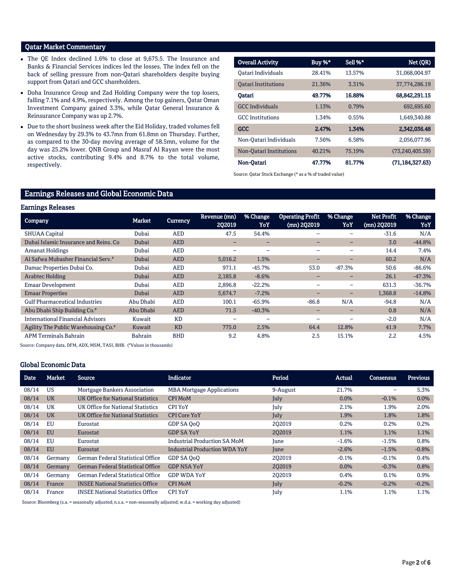# Qatar Market Commentary

- The QE Index declined 1.6% to close at 9,675.5. The Insurance and Banks & Financial Services indices led the losses. The index fell on the back of selling pressure from non-Qatari shareholders despite buying support from Qatari and GCC shareholders.
- Doha Insurance Group and Zad Holding Company were the top losers, falling 7.1% and 4.9%, respectively. Among the top gainers, Qatar Oman Investment Company gained 3.3%, while Qatar General Insurance & Reinsurance Company was up 2.7%.
- Due to the short business week after the Eid Holiday, traded volumes fell on Wednesday by 29.3% to 43.7mn from 61.8mn on Thursday. Further, as compared to the 30-day moving average of 58.5mn, volume for the day was 25.2% lower. QNB Group and Masraf Al Rayan were the most active stocks, contributing 9.4% and 8.7% to the total volume, respectively.

| <b>Overall Activity</b>    | Buy %* | Sell %* | Net (QR)          |
|----------------------------|--------|---------|-------------------|
| Oatari Individuals         | 28.41% | 13.57%  | 31.068.004.97     |
| <b>Oatari Institutions</b> | 21.36% | 3.31%   | 37,774,286.19     |
| Oatari                     | 49.77% | 16.88%  | 68,842,291.15     |
| <b>GCC</b> Individuals     | 1.13%  | 0.79%   | 692,695.60        |
| <b>GCC</b> Institutions    | 1.34%  | 0.55%   | 1,649,340.88      |
| <b>GCC</b>                 | 2.47%  | 1.34%   | 2,342,036.48      |
| Non-Oatari Individuals     | 7.56%  | 6.58%   | 2.056.077.96      |
| Non-Oatari Institutions    | 40.21% | 75.19%  | (73, 240, 405.59) |
| Non-Oatari                 | 47.77% | 81.77%  | (71, 184, 327.63) |

Source: Qatar Stock Exchange (\* as a % of traded value)

# Earnings Releases and Global Economic Data

#### Earnings Releases

| <b>Company</b>                                  | Market         | <b>Currency</b> | Revenue (mn)<br>202019   | % Change<br>YoY          | <b>Operating Profit</b><br>(mn) 2Q2019 | % Change<br>YoY          | <b>Net Profit</b><br>$(mn)$ 2Q2019 | % Change<br>YoY |
|-------------------------------------------------|----------------|-----------------|--------------------------|--------------------------|----------------------------------------|--------------------------|------------------------------------|-----------------|
| <b>SHUAA Capital</b>                            | Dubai          | <b>AED</b>      | 47.5                     | 54.4%                    |                                        |                          | $-31.6$                            | N/A             |
| Dubai Islamic Insurance and Reins, Co.          | Dubai          | <b>AED</b>      | $\overline{\phantom{0}}$ | $\qquad \qquad$          | -                                      | $\overline{\phantom{0}}$ | 3.0                                | $-44.8%$        |
| <b>Amanat Holdings</b>                          | Dubai          | <b>AED</b>      | $\overline{\phantom{0}}$ | $\overline{\phantom{0}}$ | $\overline{\phantom{0}}$               | $\overline{\phantom{0}}$ | 14.4                               | 7.4%            |
| Al Safwa Mubasher Financial Serv."              | Dubai          | <b>AED</b>      | 5,016.2                  | 1.5%                     | -                                      | $\overline{\phantom{0}}$ | 60.2                               | N/A             |
| Damac Properties Dubai Co.                      | Dubai          | <b>AED</b>      | 971.1                    | $-45.7%$                 | 53.0                                   | $-87.3%$                 | 50.6                               | $-86.6%$        |
| <b>Arabtec Holding</b>                          | Dubai          | <b>AED</b>      | 2,185.8                  | $-8.6%$                  | -                                      | $\qquad \qquad$          | 26.1                               | $-47.3%$        |
| <b>Emaar Development</b>                        | Dubai          | <b>AED</b>      | 2,896.8                  | $-22.2%$                 |                                        | $\overline{\phantom{0}}$ | 631.3                              | $-36.7%$        |
| <b>Emaar Properties</b>                         | Dubai          | <b>AED</b>      | 5,674.7                  | $-7.2%$                  | -                                      | -                        | 1,368.8                            | $-14.8%$        |
| <b>Gulf Pharmaceutical Industries</b>           | Abu Dhabi      | <b>AED</b>      | 100.1                    | $-65.9%$                 | $-86.8$                                | N/A                      | $-94.8$                            | N/A             |
| Abu Dhabi Ship Building Co. <sup>#</sup>        | Abu Dhabi      | <b>AED</b>      | 71.5                     | $-40.3%$                 | -                                      | $\qquad \qquad$          | 0.8                                | N/A             |
| <b>International Financial Advisors</b>         | Kuwait         | <b>KD</b>       | $\overline{\phantom{0}}$ | ۰                        |                                        |                          | $-2.0$                             | N/A             |
| Agility The Public Warehousing Co. <sup>#</sup> | Kuwait         | <b>KD</b>       | 775.0                    | 2.5%                     | 64.4                                   | 12.8%                    | 41.9                               | 7.7%            |
| <b>APM Terminals Bahrain</b>                    | <b>Bahrain</b> | <b>BHD</b>      | 9.2                      | 4.8%                     | 2.5                                    | 15.1%                    | 2.2                                | 4.5%            |

Source: Company data, DFM, ADX, MSM, TASI, BHB. ( #Values in thousands)

## Global Economic Data

| <b>Date</b> | <b>Market</b> | Source                                   | <b>Indicator</b>                     | Period   | Actual  | <b>Consensus</b> | <b>Previous</b> |
|-------------|---------------|------------------------------------------|--------------------------------------|----------|---------|------------------|-----------------|
| 08/14       | US            | Mortgage Bankers Association             | <b>MBA Mortgage Applications</b>     | 9-August | 21.7%   | -                | 5.3%            |
| 08/14       | <b>UK</b>     | UK Office for National Statistics        | <b>CPI MoM</b>                       | July     | 0.0%    | $-0.1%$          | 0.0%            |
| 08/14       | UK            | UK Office for National Statistics        | <b>CPI YoY</b>                       | July     | 2.1%    | 1.9%             | 2.0%            |
| 08/14       | <b>UK</b>     | UK Office for National Statistics        | <b>CPI Core YoY</b>                  | July     | 1.9%    | 1.8%             | 1.8%            |
| 08/14       | EU            | Eurostat                                 | GDP SA OoO                           | 202019   | 0.2%    | 0.2%             | 0.2%            |
| 08/14       | <b>EU</b>     | Eurostat                                 | <b>GDP SA YoY</b>                    | 202019   | 1.1%    | 1.1%             | 1.1%            |
| 08/14       | EU            | Eurostat                                 | <b>Industrial Production SA MoM</b>  | June     | $-1.6%$ | $-1.5%$          | 0.8%            |
| 08/14       | <b>EU</b>     | Eurostat                                 | <b>Industrial Production WDA YoY</b> | June     | $-2.6%$ | $-1.5%$          | $-0.8%$         |
| 08/14       | Germany       | German Federal Statistical Office        | GDP SA OoO                           | 202019   | $-0.1%$ | $-0.1%$          | 0.4%            |
| 08/14       | Germany       | <b>German Federal Statistical Office</b> | <b>GDP NSA YoY</b>                   | 202019   | $0.0\%$ | $-0.3%$          | 0.8%            |
| 08/14       | Germany       | German Federal Statistical Office        | <b>GDP WDA YoY</b>                   | 202019   | 0.4%    | 0.1%             | 0.9%            |
| 08/14       | France        | <b>INSEE National Statistics Office</b>  | <b>CPI MoM</b>                       | July     | $-0.2%$ | $-0.2%$          | $-0.2%$         |
| 08/14       | France        | <b>INSEE National Statistics Office</b>  | <b>CPI YoY</b>                       | July     | 1.1%    | 1.1%             | 1.1%            |

Source: Bloomberg (s.a. = seasonally adjusted; n.s.a. = non-seasonally adjusted; w.d.a. = working day adjusted)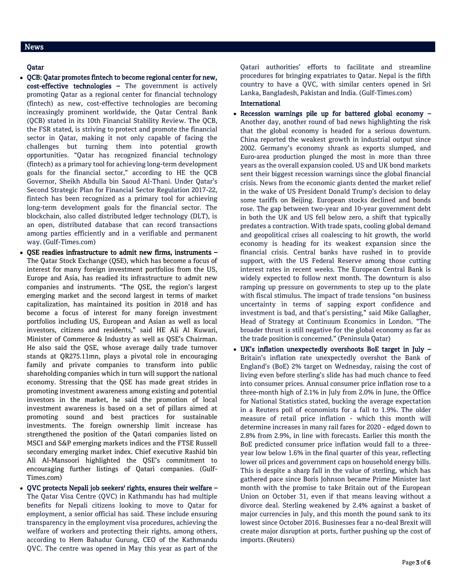#### News

#### Qatar

- QCB: Qatar promotes fintech to become regional center for new, cost-effective technologies – The government is actively promoting Qatar as a regional center for financial technology (fintech) as new, cost-effective technologies are becoming increasingly prominent worldwide, the Qatar Central Bank (QCB) stated in its 10th Financial Stability Review. The QCB, the FSR stated, is striving to protect and promote the financial sector in Qatar, making it not only capable of facing the challenges but turning them into potential growth opportunities. "Qatar has recognized financial technology (fintech) as a primary tool for achieving long-term development goals for the financial sector," according to HE the QCB Governor, Sheikh Abdulla bin Saoud Al-Thani. Under Qatar's Second Strategic Plan for Financial Sector Regulation 2017-22, fintech has been recognized as a primary tool for achieving long-term development goals for the financial sector. The blockchain, also called distributed ledger technology (DLT), is an open, distributed database that can record transactions among parties efficiently and in a verifiable and permanent way. (Gulf-Times.com)
- QSE readies infrastructure to admit new firms, instruments The Qatar Stock Exchange (QSE), which has become a focus of interest for many foreign investment portfolios from the US, Europe and Asia, has readied its infrastructure to admit new companies and instruments. "The QSE, the region's largest emerging market and the second largest in terms of market capitalization, has maintained its position in 2018 and has become a focus of interest for many foreign investment portfolios including US, European and Asian as well as local investors, citizens and residents," said HE Ali Al Kuwari, Minister of Commerce & Industry as well as QSE's Chairman. He also said the QSE, whose average daily trade turnover stands at QR275.11mn, plays a pivotal role in encouraging family and private companies to transform into public shareholding companies which in turn will support the national economy. Stressing that the QSE has made great strides in promoting investment awareness among existing and potential investors in the market, he said the promotion of local investment awareness is based on a set of pillars aimed at promoting sound and best practices for sustainable investments. The foreign ownership limit increase has strengthened the position of the Qatari companies listed on MSCI and S&P emerging markets indices and the FTSE Russell secondary emerging market index. Chief executive Rashid bin Ali Al-Mansoori highlighted the QSE's commitment to encouraging further listings of Qatari companies. (Gulf-Times.com)
- QVC protects Nepali job seekers' rights, ensures their welfare The Qatar Visa Centre (QVC) in Kathmandu has had multiple benefits for Nepali citizens looking to move to Qatar for employment, a senior official has said. These include ensuring transparency in the employment visa procedures, achieving the welfare of workers and protecting their rights, among others, according to Hem Bahadur Gurung, CEO of the Kathmandu QVC. The centre was opened in May this year as part of the

Qatari authorities' efforts to facilitate and streamline procedures for bringing expatriates to Qatar. Nepal is the fifth country to have a QVC, with similar centers opened in Sri Lanka, Bangladesh, Pakistan and India. (Gulf-Times.com)

# **International**

- Recession warnings pile up for battered global economy Another day, another round of bad news highlighting the risk that the global economy is headed for a serious downturn. China reported the weakest growth in industrial output since 2002. Germany's economy shrank as exports slumped, and Euro-area production plunged the most in more than three years as the overall expansion cooled. US and UK bond markets sent their biggest recession warnings since the global financial crisis. News from the economic giants dented the market relief in the wake of US President Donald Trump's decision to delay some tariffs on Beijing. European stocks declined and bonds rose. The gap between two-year and 10-year government debt in both the UK and US fell below zero, a shift that typically predates a contraction. With trade spats, cooling global demand and geopolitical crises all coalescing to hit growth, the world economy is heading for its weakest expansion since the financial crisis. Central banks have rushed in to provide support, with the US Federal Reserve among those cutting interest rates in recent weeks. The European Central Bank is widely expected to follow next month. The downturn is also ramping up pressure on governments to step up to the plate with fiscal stimulus. The impact of trade tensions "on business uncertainty in terms of sapping export confidence and investment is bad, and that's persisting," said Mike Gallagher, Head of Strategy at Continuum Economics in London. "The broader thrust is still negative for the global economy as far as the trade position is concerned." (Peninsula Qatar)
- UK's inflation unexpectedly overshoots BoE target in July Britain's inflation rate unexpectedly overshot the Bank of England's (BoE) 2% target on Wednesday, raising the cost of living even before sterling's slide has had much chance to feed into consumer prices. Annual consumer price inflation rose to a three-month high of 2.1% in July from 2.0% in June, the Office for National Statistics stated, bucking the average expectation in a Reuters poll of economists for a fall to 1.9%. The older measure of retail price inflation - which this month will determine increases in many rail fares for 2020 - edged down to 2.8% from 2.9%, in line with forecasts. Earlier this month the BoE predicted consumer price inflation would fall to a threeyear low below 1.6% in the final quarter of this year, reflecting lower oil prices and government caps on household energy bills. This is despite a sharp fall in the value of sterling, which has gathered pace since Boris Johnson became Prime Minister last month with the promise to take Britain out of the European Union on October 31, even if that means leaving without a divorce deal. Sterling weakened by 2.4% against a basket of major currencies in July, and this month the pound sank to its lowest since October 2016. Businesses fear a no-deal Brexit will create major disruption at ports, further pushing up the cost of imports. (Reuters)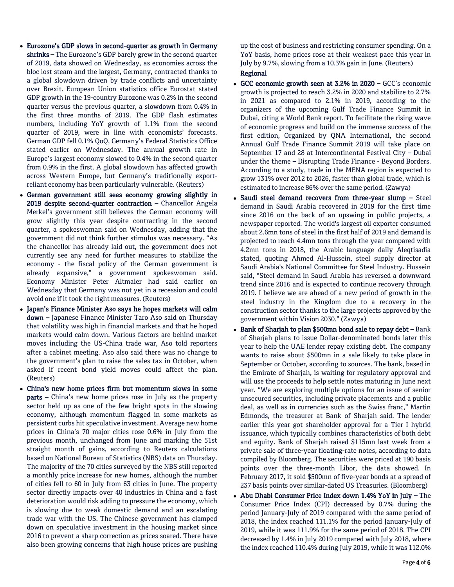- Eurozone's GDP slows in second-quarter as growth in Germany shrinks – The Eurozone's GDP barely grew in the second quarter of 2019, data showed on Wednesday, as economies across the bloc lost steam and the largest, Germany, contracted thanks to a global slowdown driven by trade conflicts and uncertainty over Brexit. European Union statistics office Eurostat stated GDP growth in the 19-country Eurozone was 0.2% in the second quarter versus the previous quarter, a slowdown from 0.4% in the first three months of 2019. The GDP flash estimates numbers, including YoY growth of 1.1% from the second quarter of 2019, were in line with economists' forecasts. German GDP fell 0.1% QoQ, Germany's Federal Statistics Office stated earlier on Wednesday. The annual growth rate in Europe's largest economy slowed to 0.4% in the second quarter from 0.9% in the first. A global slowdown has affected growth across Western Europe, but Germany's traditionally exportreliant economy has been particularly vulnerable. (Reuters)
- German government still sees economy growing slightly in 2019 despite second-quarter contraction – Chancellor Angela Merkel's government still believes the German economy will grow slightly this year despite contracting in the second quarter, a spokeswoman said on Wednesday, adding that the government did not think further stimulus was necessary. "As the chancellor has already laid out, the government does not currently see any need for further measures to stabilize the economy - the fiscal policy of the German government is already expansive," a government spokeswoman said. Economy Minister Peter Altmaier had said earlier on Wednesday that Germany was not yet in a recession and could avoid one if it took the right measures. (Reuters)
- Japan's Finance Minister Aso says he hopes markets will calm down - Japanese Finance Minister Taro Aso said on Thursday that volatility was high in financial markets and that he hoped markets would calm down. Various factors are behind market moves including the US-China trade war, Aso told reporters after a cabinet meeting. Aso also said there was no change to the government's plan to raise the sales tax in October, when asked if recent bond yield moves could affect the plan. (Reuters)
- China's new home prices firm but momentum slows in some parts – China's new home prices rose in July as the property sector held up as one of the few bright spots in the slowing economy, although momentum flagged in some markets as persistent curbs hit speculative investment. Average new home prices in China's 70 major cities rose 0.6% in July from the previous month, unchanged from June and marking the 51st straight month of gains, according to Reuters calculations based on National Bureau of Statistics (NBS) data on Thursday. The majority of the 70 cities surveyed by the NBS still reported a monthly price increase for new homes, although the number of cities fell to 60 in July from 63 cities in June. The property sector directly impacts over 40 industries in China and a fast deterioration would risk adding to pressure the economy, which is slowing due to weak domestic demand and an escalating trade war with the US. The Chinese government has clamped down on speculative investment in the housing market since 2016 to prevent a sharp correction as prices soared. There have also been growing concerns that high house prices are pushing

up the cost of business and restricting consumer spending. On a YoY basis, home prices rose at their weakest pace this year in July by 9.7%, slowing from a 10.3% gain in June. (Reuters) Regional

- GCC economic growth seen at 3.2% in 2020 GCC's economic growth is projected to reach 3.2% in 2020 and stabilize to 2.7% in 2021 as compared to 2.1% in 2019, according to the organizers of the upcoming Gulf Trade Finance Summit in Dubai, citing a World Bank report. To facilitate the rising wave of economic progress and build on the immense success of the first edition, Organized by QNA International, the second Annual Gulf Trade Finance Summit 2019 will take place on September 17 and 28 at Intercontinental Festival City – Dubai under the theme – Disrupting Trade Finance - Beyond Borders. According to a study, trade in the MENA region is expected to grow 131% over 2012 to 2026, faster than global trade, which is estimated to increase 86% over the same period. (Zawya)
- Saudi steel demand recovers from three-year slump Steel demand in Saudi Arabia recovered in 2019 for the first time since 2016 on the back of an upswing in public projects, a newspaper reported. The world's largest oil exporter consumed about 2.6mn tons of steel in the first half of 2019 and demand is projected to reach 4.4mn tons through the year compared with 4.2mn tons in 2018, the Arabic language daily Aleqtisadia stated, quoting Ahmed Al-Hussein, steel supply director at Saudi Arabia's National Committee for Steel Industry. Hussein said, "Steel demand in Saudi Arabia has reversed a downward trend since 2016 and is expected to continue recovery through 2019. I believe we are ahead of a new period of growth in the steel industry in the Kingdom due to a recovery in the construction sector thanks to the large projects approved by the government within Vision 2030." (Zawya)
- Bank of Sharjah to plan \$500mn bond sale to repay debt Bank of Sharjah plans to issue Dollar-denominated bonds later this year to help the UAE lender repay existing debt. The company wants to raise about \$500mn in a sale likely to take place in September or October, according to sources. The bank, based in the Emirate of Sharjah, is waiting for regulatory approval and will use the proceeds to help settle notes maturing in June next year. "We are exploring multiple options for an issue of senior unsecured securities, including private placements and a public deal, as well as in currencies such as the Swiss franc," Martin Edmonds, the treasurer at Bank of Sharjah said. The lender earlier this year got shareholder approval for a Tier I hybrid issuance, which typically combines characteristics of both debt and equity. Bank of Sharjah raised \$115mn last week from a private sale of three-year floating-rate notes, according to data compiled by Bloomberg. The securities were priced at 190 basis points over the three-month Libor, the data showed. In February 2017, it sold \$500mn of five-year bonds at a spread of 237 basis points over similar-dated US Treasuries. (Bloomberg)
- Abu Dhabi Consumer Price Index down 1.4% YoY in July The Consumer Price Index (CPI) decreased by 0.7% during the period January-July of 2019 compared with the same period of 2018, the index reached 111.1% for the period January-July of 2019, while it was 111.9% for the same period of 2018. The CPI decreased by 1.4% in July 2019 compared with July 2018, where the index reached 110.4% during July 2019, while it was 112.0%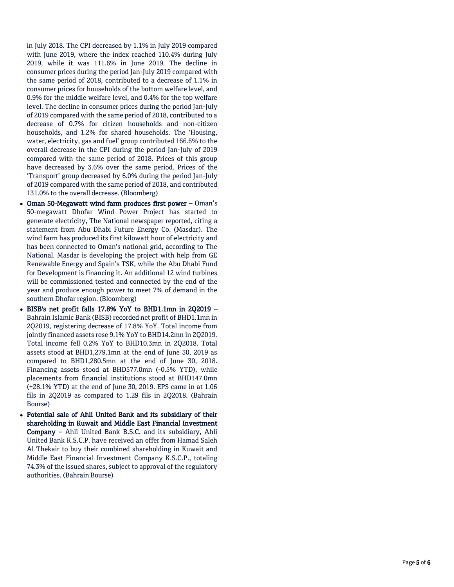in July 2018. The CPI decreased by 1.1% in July 2019 compared with June 2019, where the index reached 110.4% during July 2019, while it was 111.6% in June 2019. The decline in consumer prices during the period Jan -July 2019 compared with the same period of 2018, contributed to a decrease of 1.1% in consumer prices for households of the bottom welfare level, and 0.9% for the middle welfare level, and 0.4% for the top welfare level. The decline in consumer prices during the period Jan -July of 2019 compared with the same period of 2018, contributed to a decrease of 0.7% for citizen households and non -citizen households, and 1.2% for shared households. The 'Housing, water, electricity, gas and fuel' group contributed 166.6% to the overall decrease in the CPI during the period Jan -July of 2019 compared with the same period of 2018. Prices of this group have decreased by 3.6% over the same period. Prices of the 'Transport' group decreased by 6.0% during the period Jan -July of 2019 compared with the same period of 2018, and contributed 131.0% to the overall decrease. (Bloomberg)

- Oman 50 -Megawatt wind farm produces first power Oman's 50 -megawatt Dhofar Wind Power Project has started to generate electricity, The National newspaper reported, citing a statement from Abu Dhabi Future Energy Co. (Masdar). The wind farm has produced its first kilowatt hour of electricity and has been connected to Oman's national grid, according to The National. Masdar is developing the project with help from GE Renewable Energy and Spain's TSK, while the Abu Dhabi Fund for Development is financing it. An additional 12 wind turbines will be commissioned tested and connected by the end of the year and produce enough power to meet 7% of demand in the southern Dhofar region. (Bloomberg)
- BISB's net profit falls 17.8% YoY to BHD1.1mn in 2Q2019 Bahrain Islamic Bank (BISB) recorded net profit of BHD1.1mn in 2Q2019, registering decrease of 17.8% YoY. Total income from jointly financed assets rose 9.1% YoY to BHD14.2mn in 2Q2019. Total income fell 0.2% YoY to BHD10.3mn in 2Q2018. Total assets stood at BHD1,279.1mn at the end of June 30, 2019 as compared to BHD1,280.5mn at the end of June 30, 2018. Financing assets stood at BHD577.0mn ( -0.5% YTD), while placements from financial institutions stood at BHD147.0mn (+28.1% YTD) at the end of June 30, 2019. EPS came in at 1.06 fils in 2Q2019 as compared to 1.29 fils in 2Q2018. (Bahrain Bourse )
- Potential sale of Ahli United Bank and its subsidiary of their shareholding in Kuwait and Middle East Financial Investment Company – Ahli United Bank B.S.C. and its subsidiary, Ahli Unite d Bank K.S.C.P. have received an offer from Hamad Saleh Al Thekair to buy their combined shareholding in Kuwait and Middle East Financial Investment Company K.S.C.P., totaling 74.3% of the issued shares, subject to approval of the regulatory authorities. (Bahrain Bourse)